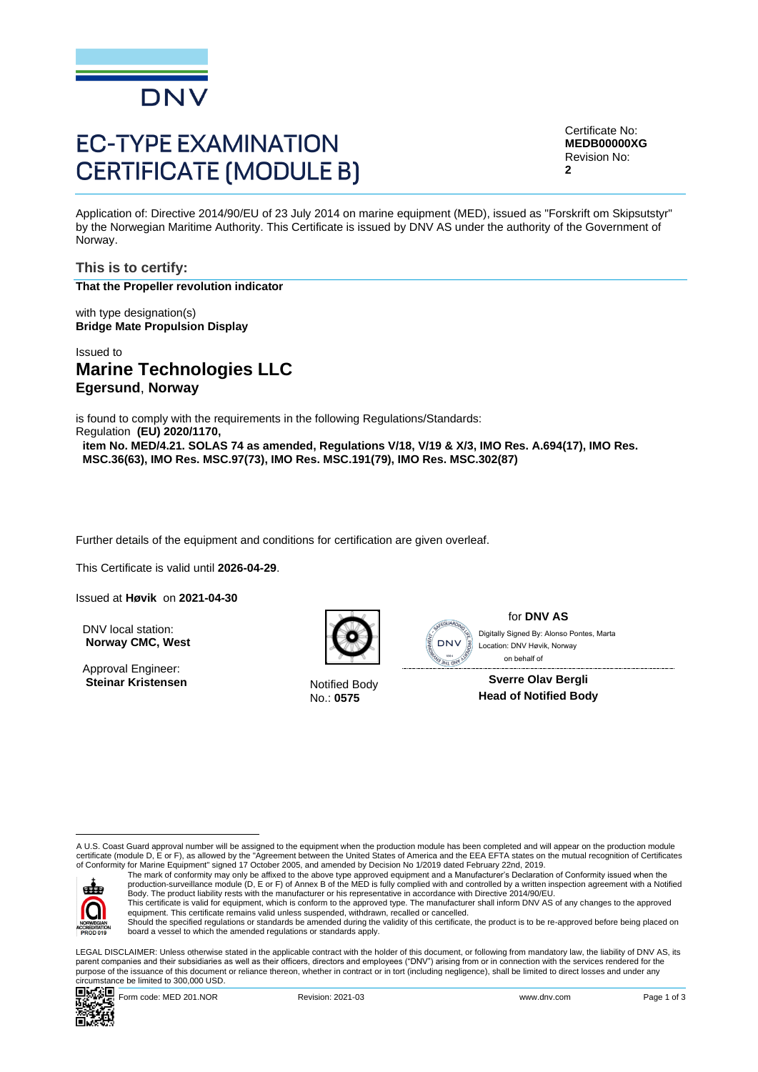

# **EC-TYPE EXAMINATION CERTIFICATE (MODULE B)**

Certificate No: **MEDB00000XG** Revision No: **2**

Application of: Directive 2014/90/EU of 23 July 2014 on marine equipment (MED), issued as "Forskrift om Skipsutstyr" by the Norwegian Maritime Authority. This Certificate is issued by DNV AS under the authority of the Government of Norway.

**This is to certify: That the Propeller revolution indicator**

with type designation(s) **Bridge Mate Propulsion Display**

Issued to **Marine Technologies LLC Egersund**, **Norway**

is found to comply with the requirements in the following Regulations/Standards: Regulation **(EU) 2020/1170,** 

**item No. MED/4.21. SOLAS 74 as amended, Regulations V/18, V/19 & X/3, IMO Res. A.694(17), IMO Res. MSC.36(63), IMO Res. MSC.97(73), IMO Res. MSC.191(79), IMO Res. MSC.302(87)**

Further details of the equipment and conditions for certification are given overleaf.

This Certificate is valid until **2026-04-29**.

Issued at **Høvik** on **2021-04-30**

DNV local station: **Norway CMC, West**

Approval Engineer: **Steinar Kristensen** Notified Body



No.: **0575**



for **DNV AS** on behalf ofLocation: DNV Høvik, Norway

**Sverre Olav Bergli Head of Notified Body**

A U.S. Coast Guard approval number will be assigned to the equipment when the production module has been completed and will appear on the production module certificate (module D, E or F), as allowed by the "Agreement between the United States of America and the EEA EFTA states on the mutual recognition of Certificates<br>of Conformity for Marine Equipment" signed 17 October 2005



The mark of conformity may only be affixed to the above type approved equipment and a Manufacturer's Declaration of Conformity issued when the<br>production-surveillance module (D, E or F) of Annex B of the MED is fully compl Body. The product liability rests with the manufacturer or his representative in accordance with Directive 2014/90/EU.

This certificate is valid for equipment, which is conform to the approved type. The manufacturer shall inform DNV AS of any changes to the approved<br>equipment. This certificate remains valid unless suspended, withdrawn, rec Should the specified regulations or standards be amended during the validity of this certificate, the product is to be re-approved before being placed on

board a vessel to which the amended regulations or standards apply. LEGAL DISCLAIMER: Unless otherwise stated in the applicable contract with the holder of this document, or following from mandatory law, the liability of DNV AS, its parent companies and their subsidiaries as well as their officers, directors and employees ("DNV") arising from or in connection with the services rendered for the Control and the specification of the state behavior of the state behavior of the state of the state of the state of the state of the state of the state of the state of the state of the state of the state of the state of th

purpose of the issuance of this document or reliance thereon, whether in contract or in tort (including negligence), shall be limited to direct losses and under any circumstance be limited to 300,000 USD.



Form code: MED 201.NOR **Revision: 2021-03** Revision: 2021-03 www.dnv.com Page 1 of 3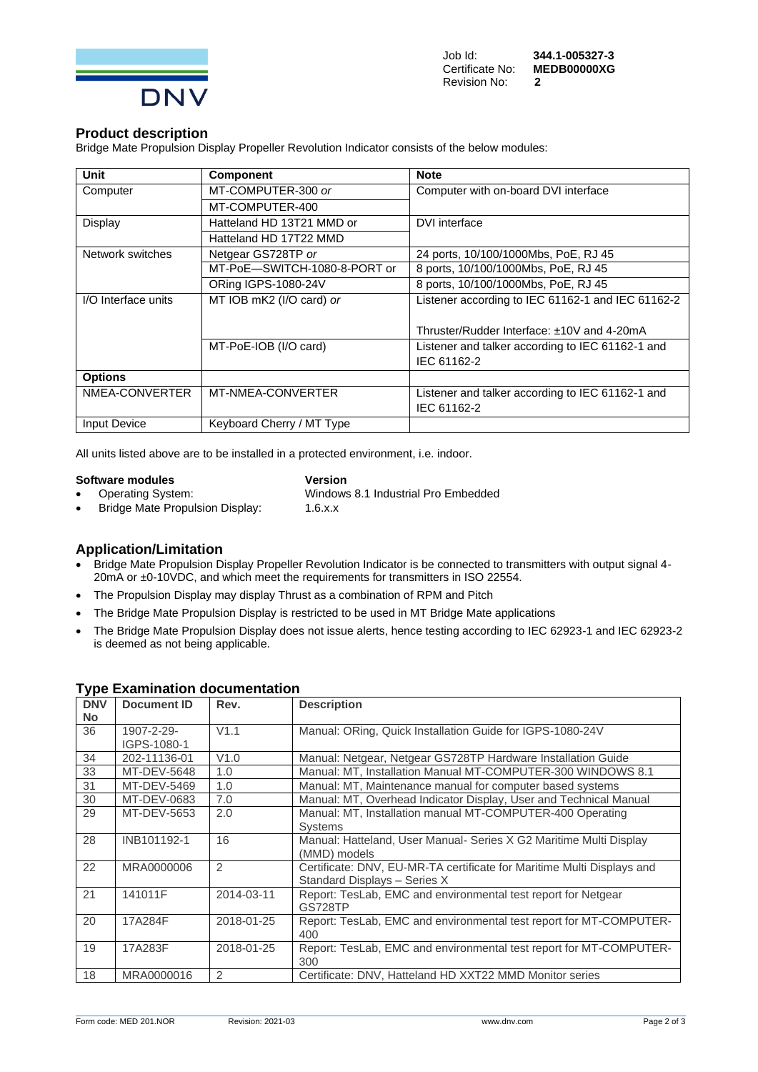

#### **Product description**

Bridge Mate Propulsion Display Propeller Revolution Indicator consists of the below modules:

| <b>Unit</b>         | <b>Component</b>             | <b>Note</b>                                       |
|---------------------|------------------------------|---------------------------------------------------|
| Computer            | MT-COMPUTER-300 or           | Computer with on-board DVI interface              |
|                     | MT-COMPUTER-400              |                                                   |
| Display             | Hatteland HD 13T21 MMD or    | DVI interface                                     |
|                     | Hatteland HD 17T22 MMD       |                                                   |
| Network switches    | Netgear GS728TP or           | 24 ports, 10/100/1000Mbs, PoE, RJ 45              |
|                     | MT-PoE-SWITCH-1080-8-PORT or | 8 ports, 10/100/1000Mbs, PoE, RJ 45               |
|                     | ORing IGPS-1080-24V          | 8 ports, 10/100/1000Mbs, PoE, RJ 45               |
| I/O Interface units | MT IOB mK2 (I/O card) or     | Listener according to IEC 61162-1 and IEC 61162-2 |
|                     |                              |                                                   |
|                     |                              | Thruster/Rudder Interface: ±10V and 4-20mA        |
|                     | MT-PoE-IOB (I/O card)        | Listener and talker according to IEC 61162-1 and  |
|                     |                              | IEC 61162-2                                       |
| <b>Options</b>      |                              |                                                   |
| NMEA-CONVERTER      | MT-NMEA-CONVERTER            | Listener and talker according to IEC 61162-1 and  |
|                     |                              | IEC 61162-2                                       |
| <b>Input Device</b> | Keyboard Cherry / MT Type    |                                                   |

All units listed above are to be installed in a protected environment, i.e. indoor.

**Software modules Version**<br>
• **Operating System:** Windows

• Operating System: Windows 8.1 Industrial Pro Embedded<br>• Bridge Mate Propulsion Display: 1.6.x.x

• Bridge Mate Propulsion Display:

### **Application/Limitation**

- Bridge Mate Propulsion Display Propeller Revolution Indicator is be connected to transmitters with output signal 4-20mA or ±0-10VDC, and which meet the requirements for transmitters in ISO 22554.
- The Propulsion Display may display Thrust as a combination of RPM and Pitch
- The Bridge Mate Propulsion Display is restricted to be used in MT Bridge Mate applications
- The Bridge Mate Propulsion Display does not issue alerts, hence testing according to IEC 62923-1 and IEC 62923-2 is deemed as not being applicable.

| <b>DNV</b><br><b>No</b> | <b>Document ID</b> | Rev.           | <b>Description</b>                                                     |
|-------------------------|--------------------|----------------|------------------------------------------------------------------------|
| 36                      | 1907-2-29-         | V1.1           | Manual: ORing, Quick Installation Guide for IGPS-1080-24V              |
|                         | IGPS-1080-1        |                |                                                                        |
| 34                      | 202-11136-01       | V1.0           | Manual: Netgear, Netgear GS728TP Hardware Installation Guide           |
| 33                      | MT-DEV-5648        | 1.0            | Manual: MT, Installation Manual MT-COMPUTER-300 WINDOWS 8.1            |
| 31                      | MT-DEV-5469        | 1.0            | Manual: MT, Maintenance manual for computer based systems              |
| 30                      | MT-DEV-0683        | 7.0            | Manual: MT, Overhead Indicator Display, User and Technical Manual      |
| 29                      | MT-DEV-5653        | 2.0            | Manual: MT, Installation manual MT-COMPUTER-400 Operating              |
|                         |                    |                | <b>Systems</b>                                                         |
| 28                      | INB101192-1        | 16             | Manual: Hatteland, User Manual- Series X G2 Maritime Multi Display     |
|                         |                    |                | (MMD) models                                                           |
| 22                      | MRA0000006         | $\mathfrak{D}$ | Certificate: DNV, EU-MR-TA certificate for Maritime Multi Displays and |
|                         |                    |                | Standard Displays - Series X                                           |
| 21                      | 141011F            | 2014-03-11     | Report: TesLab, EMC and environmental test report for Netgear          |
|                         |                    |                | <b>GS728TP</b>                                                         |
| 20                      | 17A284F            | 2018-01-25     | Report: TesLab, EMC and environmental test report for MT-COMPUTER-     |
|                         |                    |                | 400                                                                    |
| 19                      | 17A283F            | 2018-01-25     | Report: TesLab, EMC and environmental test report for MT-COMPUTER-     |
|                         |                    |                | 300                                                                    |
| 18                      | MRA0000016         | $\mathcal{P}$  | Certificate: DNV, Hatteland HD XXT22 MMD Monitor series                |

### **Type Examination documentation**